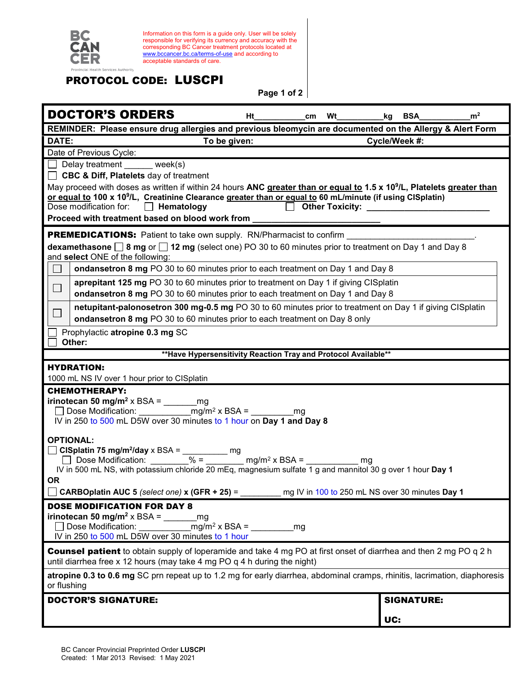

Information on this form is a guide only. User will be solely responsible for verifying its currency and accuracy with the corresponding BC Cancer treatment protocols located at [www.bccancer.bc.ca/terms-of-use](http://www.bccancer.bc.ca/terms-of-use) and according to acceptable standards of care.

## PROTOCOL CODE: LUSCPI

**Page 1 of 2**

| <b>DOCTOR'S ORDERS</b><br>Ht<br><b>Wt</b><br>cm                                                                                                                                                                       | kg BSA        |                   | m <sup>2</sup> |  |
|-----------------------------------------------------------------------------------------------------------------------------------------------------------------------------------------------------------------------|---------------|-------------------|----------------|--|
| REMINDER: Please ensure drug allergies and previous bleomycin are documented on the Allergy & Alert Form                                                                                                              |               |                   |                |  |
| DATE:<br>To be given:                                                                                                                                                                                                 | Cycle/Week #: |                   |                |  |
| Date of Previous Cycle:                                                                                                                                                                                               |               |                   |                |  |
| $\Box$ Delay treatment week(s)                                                                                                                                                                                        |               |                   |                |  |
| □ CBC & Diff, Platelets day of treatment                                                                                                                                                                              |               |                   |                |  |
| May proceed with doses as written if within 24 hours ANC greater than or equal to 1.5 x 10 <sup>9</sup> /L, Platelets greater than                                                                                    |               |                   |                |  |
| or equal to 100 x 10 <sup>9</sup> /L, Creatinine Clearance greater than or equal to 60 mL/minute (if using CISplatin)<br>Dose modification for:<br>$\Box$ Hematology<br>□ Other Toxicity: <u>____________________</u> |               |                   |                |  |
| Proceed with treatment based on blood work from _                                                                                                                                                                     |               |                   |                |  |
| <b>PREMEDICATIONS:</b> Patient to take own supply. RN/Pharmacist to confirm                                                                                                                                           |               |                   |                |  |
| dexamethasone $\Box$ 8 mg or $\Box$ 12 mg (select one) PO 30 to 60 minutes prior to treatment on Day 1 and Day 8                                                                                                      |               |                   |                |  |
| and select ONE of the following:                                                                                                                                                                                      |               |                   |                |  |
| ondansetron 8 mg PO 30 to 60 minutes prior to each treatment on Day 1 and Day 8<br>$\mathcal{L}_{\mathcal{A}}$                                                                                                        |               |                   |                |  |
| aprepitant 125 mg PO 30 to 60 minutes prior to treatment on Day 1 if giving CISplatin<br>$\Box$                                                                                                                       |               |                   |                |  |
| ondansetron 8 mg PO 30 to 60 minutes prior to each treatment on Day 1 and Day 8                                                                                                                                       |               |                   |                |  |
| netupitant-palonosetron 300 mg-0.5 mg PO 30 to 60 minutes prior to treatment on Day 1 if giving CISplatin                                                                                                             |               |                   |                |  |
| $\Box$<br>ondansetron 8 mg PO 30 to 60 minutes prior to each treatment on Day 8 only                                                                                                                                  |               |                   |                |  |
| Prophylactic atropine 0.3 mg SC<br>Other:                                                                                                                                                                             |               |                   |                |  |
| ** Have Hypersensitivity Reaction Tray and Protocol Available**                                                                                                                                                       |               |                   |                |  |
| <b>HYDRATION:</b>                                                                                                                                                                                                     |               |                   |                |  |
| 1000 mL NS IV over 1 hour prior to CISplatin                                                                                                                                                                          |               |                   |                |  |
| <b>CHEMOTHERAPY:</b>                                                                                                                                                                                                  |               |                   |                |  |
| irinotecan 50 mg/m <sup>2</sup> x BSA = $\frac{m}{2}$ mg                                                                                                                                                              |               |                   |                |  |
| IV in 250 to 500 mL D5W over 30 minutes to 1 hour on Day 1 and Day 8                                                                                                                                                  |               |                   |                |  |
|                                                                                                                                                                                                                       |               |                   |                |  |
| <b>OPTIONAL:</b>                                                                                                                                                                                                      |               |                   |                |  |
| $\Box$ CISplatin 75 mg/m <sup>2</sup> /day x BSA = __________ mg<br>Dose Modification: $\frac{20}{\sqrt{9}} = \frac{10}{\sqrt{9}}$ mg/m <sup>2</sup> x BSA =                                                          |               |                   |                |  |
| mq<br>IV in 500 mL NS, with potassium chloride 20 mEq, magnesium sulfate 1 g and mannitol 30 g over 1 hour Day 1                                                                                                      |               |                   |                |  |
| <b>OR</b>                                                                                                                                                                                                             |               |                   |                |  |
| CARBOplatin AUC 5 (select one) x (GFR + 25) =<br>mg IV in 100 to 250 mL NS over 30 minutes Day 1                                                                                                                      |               |                   |                |  |
| <b>DOSE MODIFICATION FOR DAY 8</b>                                                                                                                                                                                    |               |                   |                |  |
| irinotecan 50 mg/m <sup>2</sup> x BSA =<br>mq                                                                                                                                                                         |               |                   |                |  |
| $mg/m^2$ x BSA =<br>Dose Modification:<br>mg                                                                                                                                                                          |               |                   |                |  |
| IV in 250 to 500 mL D5W over 30 minutes to 1 hour                                                                                                                                                                     |               |                   |                |  |
| <b>Counsel patient</b> to obtain supply of loperamide and take 4 mg PO at first onset of diarrhea and then 2 mg PO q 2 h<br>until diarrhea free x 12 hours (may take 4 mg PO q 4 h during the night)                  |               |                   |                |  |
| atropine 0.3 to 0.6 mg SC prn repeat up to 1.2 mg for early diarrhea, abdominal cramps, rhinitis, lacrimation, diaphoresis<br>or flushing                                                                             |               |                   |                |  |
| <b>DOCTOR'S SIGNATURE:</b>                                                                                                                                                                                            |               | <b>SIGNATURE:</b> |                |  |
|                                                                                                                                                                                                                       | UC:           |                   |                |  |
|                                                                                                                                                                                                                       |               |                   |                |  |